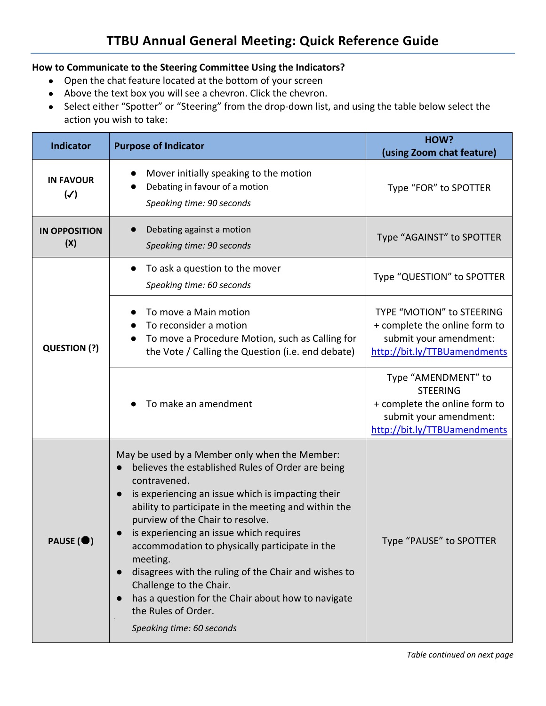## **How to Communicate to the Steering Committee Using the Indicators?**

- Open the chat feature located at the bottom of your screen
- Above the text box you will see a chevron. Click the chevron.
- Select either "Spotter" or "Steering" from the drop-down list, and using the table below select the action you wish to take:

| <b>Indicator</b>                   | <b>Purpose of Indicator</b>                                                                                                                                                                                                                                                                                                                                                                                                                                                                                                                                                                         | HOW?<br>(using Zoom chat feature)                                                                                                 |
|------------------------------------|-----------------------------------------------------------------------------------------------------------------------------------------------------------------------------------------------------------------------------------------------------------------------------------------------------------------------------------------------------------------------------------------------------------------------------------------------------------------------------------------------------------------------------------------------------------------------------------------------------|-----------------------------------------------------------------------------------------------------------------------------------|
| <b>IN FAVOUR</b><br>$(\checkmark)$ | Mover initially speaking to the motion<br>Debating in favour of a motion<br>Speaking time: 90 seconds                                                                                                                                                                                                                                                                                                                                                                                                                                                                                               | Type "FOR" to SPOTTER                                                                                                             |
| <b>IN OPPOSITION</b><br>(X)        | Debating against a motion<br>Speaking time: 90 seconds                                                                                                                                                                                                                                                                                                                                                                                                                                                                                                                                              | Type "AGAINST" to SPOTTER                                                                                                         |
|                                    | To ask a question to the mover<br>Speaking time: 60 seconds                                                                                                                                                                                                                                                                                                                                                                                                                                                                                                                                         | Type "QUESTION" to SPOTTER                                                                                                        |
| QUESTION (?)                       | To move a Main motion<br>To reconsider a motion<br>To move a Procedure Motion, such as Calling for<br>the Vote / Calling the Question (i.e. end debate)                                                                                                                                                                                                                                                                                                                                                                                                                                             | TYPE "MOTION" to STEERING<br>+ complete the online form to<br>submit your amendment:<br>http://bit.ly/TTBUamendments              |
|                                    | To make an amendment                                                                                                                                                                                                                                                                                                                                                                                                                                                                                                                                                                                | Type "AMENDMENT" to<br><b>STEERING</b><br>+ complete the online form to<br>submit your amendment:<br>http://bit.ly/TTBUamendments |
| PAUSE ( <sup>1</sup> )             | May be used by a Member only when the Member:<br>believes the established Rules of Order are being<br>contravened.<br>is experiencing an issue which is impacting their<br>$\bullet$<br>ability to participate in the meeting and within the<br>purview of the Chair to resolve.<br>is experiencing an issue which requires<br>accommodation to physically participate in the<br>meeting.<br>disagrees with the ruling of the Chair and wishes to<br>$\bullet$<br>Challenge to the Chair.<br>has a question for the Chair about how to navigate<br>the Rules of Order.<br>Speaking time: 60 seconds | Type "PAUSE" to SPOTTER                                                                                                           |